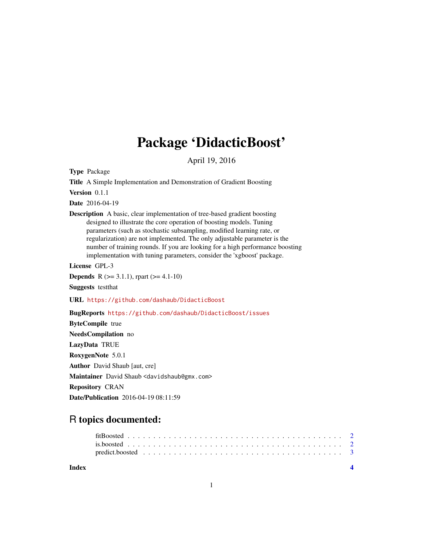## Package 'DidacticBoost'

April 19, 2016

<span id="page-0-0"></span>Type Package

Title A Simple Implementation and Demonstration of Gradient Boosting

Version 0.1.1

Date 2016-04-19

Description A basic, clear implementation of tree-based gradient boosting designed to illustrate the core operation of boosting models. Tuning parameters (such as stochastic subsampling, modified learning rate, or regularization) are not implemented. The only adjustable parameter is the number of training rounds. If you are looking for a high performance boosting implementation with tuning parameters, consider the 'xgboost' package.

License GPL-3

**Depends** R  $(>= 3.1.1)$ , rpart  $(>= 4.1-10)$ Suggests testthat

URL <https://github.com/dashaub/DidacticBoost>

BugReports <https://github.com/dashaub/DidacticBoost/issues>

ByteCompile true NeedsCompilation no LazyData TRUE RoxygenNote 5.0.1 Author David Shaub [aut, cre] Maintainer David Shaub <davidshaub@gmx.com> Repository CRAN Date/Publication 2016-04-19 08:11:59

### R topics documented:

| Index |  |  |  |  |  |  |  |  |  |  |  |  |  |  |  |  |  |
|-------|--|--|--|--|--|--|--|--|--|--|--|--|--|--|--|--|--|
|       |  |  |  |  |  |  |  |  |  |  |  |  |  |  |  |  |  |
|       |  |  |  |  |  |  |  |  |  |  |  |  |  |  |  |  |  |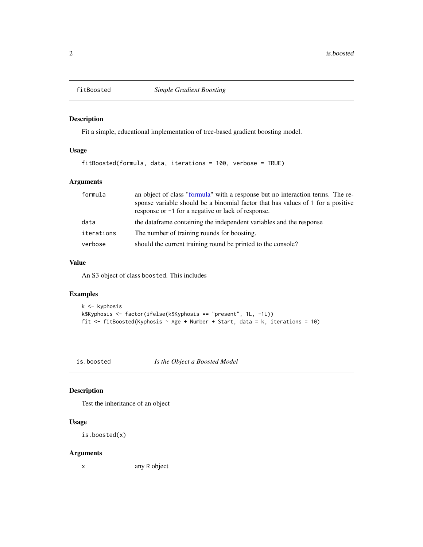<span id="page-1-1"></span><span id="page-1-0"></span>

#### Description

Fit a simple, educational implementation of tree-based gradient boosting model.

#### Usage

fitBoosted(formula, data, iterations = 100, verbose = TRUE)

#### Arguments

| formula    | an object of class "formula" with a response but no interaction terms. The re-<br>sponse variable should be a binomial factor that has values of 1 for a positive<br>response or -1 for a negative or lack of response. |
|------------|-------------------------------------------------------------------------------------------------------------------------------------------------------------------------------------------------------------------------|
| data       | the data frame containing the independent variables and the response                                                                                                                                                    |
| iterations | The number of training rounds for boosting.                                                                                                                                                                             |
| verbose    | should the current training round be printed to the console?                                                                                                                                                            |

#### Value

An S3 object of class boosted. This includes

#### Examples

```
k <- kyphosis
k$Kyphosis <- factor(ifelse(k$Kyphosis == "present", 1L, -1L))
fit <- fitBoosted(Kyphosis ~ Age + Number + Start, data = k, iterations = 10)
```
is.boosted *Is the Object a Boosted Model*

#### Description

Test the inheritance of an object

#### Usage

```
is.boosted(x)
```
#### Arguments

x any R object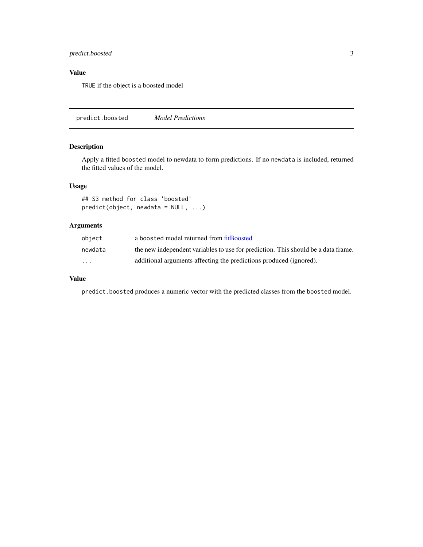#### <span id="page-2-0"></span>predict.boosted 3

#### Value

TRUE if the object is a boosted model

predict.boosted *Model Predictions*

#### Description

Apply a fitted boosted model to newdata to form predictions. If no newdata is included, returned the fitted values of the model.

#### Usage

## S3 method for class 'boosted' predict(object, newdata = NULL, ...)

#### Arguments

| object                  | a boosted model returned from fitBoosted                                          |
|-------------------------|-----------------------------------------------------------------------------------|
| newdata                 | the new independent variables to use for prediction. This should be a data frame. |
| $\cdot$ $\cdot$ $\cdot$ | additional arguments affecting the predictions produced (ignored).                |

#### Value

predict.boosted produces a numeric vector with the predicted classes from the boosted model.